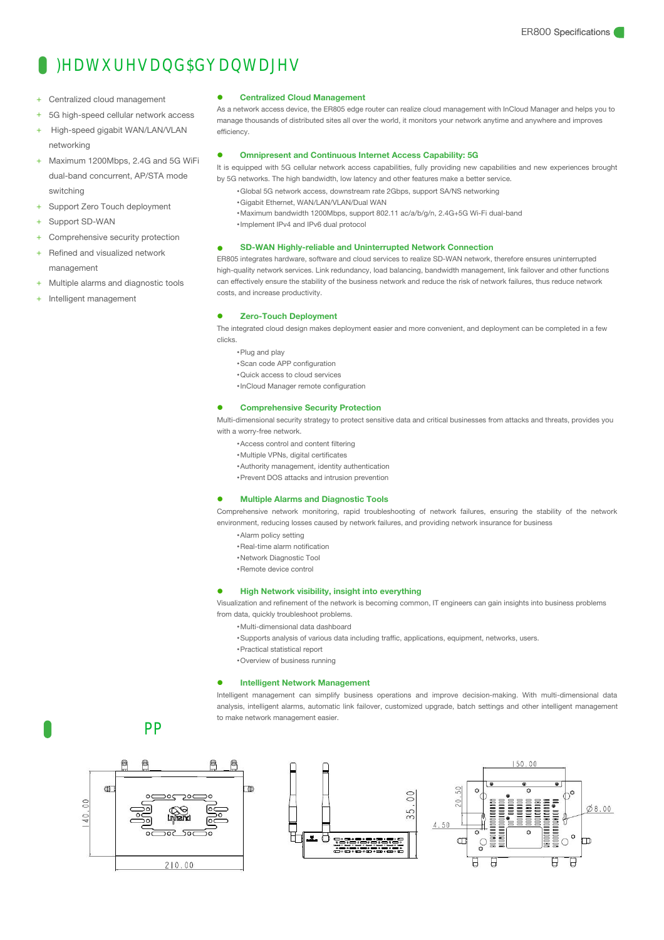## Ba pqnao r p cao

- 
- 
- 
- → **Centralized cloud management**<br>
+ Centralized cloud management<br>
+ 5G high-speed cellular network access<br>
+ High-speed gigabit WAN/LAN/VLAN<br>
networking<br>
+ Maximum 1200Mbps, 2.4G and 5G WiFi<br>
+ Maximum 1200Mbps, 2.4G an *A* **Exercise Configured Configured Configured Configured +**<br>
+ SG high-speed cellular network access<br>
+ High-speed gigabit WAN/LAN/VLAN<br>
+ Maximum 1200Mbps, 2.4G and 5G WiFi<br>
+ Maximum 1200Mbps, 2.4G and 5G WiFi<br>
+ Sup **DEXECUTED IN CHIND CONTROVER CONTROVER CONTROVER CONTROVER CONTROVER CONTROVER CONTROVER CONTROVER CONCUPREND MAXimum 1200Mbps, 2.4G and 5G WiFi<br>
Maximum 1200Mbps, 2.4G and 5G WiFi<br>
dual-band concurrent, AP/STA mode by 5G** switching + Centralized cloud management<br>
+ 5G high-speed cellular network access<br>
+ High-speed gigabit WAN/LAN/VLAN<br>
+ Maximum 1200Mbps, 2.4G and 5G WiFi<br>
+ Maximum 1200Mbps, 2.4G and 5G WiFi<br>
+ Support Zero Touch deployment<br>
+ Su + High-speed gigabit WAN/LAN/VLAN<br>
networking<br>
+ Maximum 1200Mbps, 2.4G and 5G WiFi<br>
+ Maximum 1200Mbps, 2.4G and 5G WiFi<br>
+ Support Zero Touch deployment<br>
+ Support SD-WAN<br>
+ Comprehensive security protection<br>
+ Refined dual-band concurrent, AP/STA mode<br>
switching<br>
+ Support Zero Touch deployment<br>
+ Support SD-WAN<br>
+ Comprehensive security protection<br>
+ Refined and visualized network<br>
- The FR805 integra<br>
+ Multiple alarms and diagnostic
- 
- 

networking

- 
- management
- 
- 

#### **Centralized Cloud Management**

As a network access device, the ER805 edge router can realize cloud management with InCloud Manager and helps you to manage thousands of distributed sites all over the world, it monitors your network anytime and anywhere and improves efficiency.

#### **Omnipresent and Continuous Internet Access Capability: 5G**

It is equipped with 5G cellular network access capabilities, fully providing new capabilities and new experiences brought by 5G networks. The high bandwidth, low latency and other features make a better service.

- •Global 5G network access, downstream rate 2Gbps, support SA/NS networking
	- •Gigabit Ethernet, WAN/LAN/VLAN/Dual WAN
	- •Maximum bandwidth 1200Mbps, support 802.11 ac/a/b/g/n, 2.4G+5G Wi-Fi dual-band
	- •Implement IPv4 and IPv6 dual protocol

### **SD-WAN Highly-reliable and Uninterrupted Network Connection**

ER805 integrates hardware, software and cloud services to realize SD-WAN network, therefore ensures uninterrupted high-quality network services. Link redundancy, load balancing, bandwidth management, link failover and other functions can effectively ensure the stability of the business network and reduce the risk of network failures, thus reduce network costs, and increase productivity.

#### **Zero-Touch Deployment**

The integrated cloud design makes deployment easier and more convenient, and deployment can be completed in a few clicks.

- •Plug and play
- •Scan code APP configuration
- •Quick access to cloud services
- •InCloud Manager remote configuration

### **Comprehensive Security Protection**

Multi-dimensional security strategy to protect sensitive data and critical businesses from attacks and threats, provides you with a worry-free network.

- •Access control and content filtering
- •Multiple VPNs, digital certificates
- •Authority management, identity authentication
- •Prevent DOS attacks and intrusion prevention

#### **Multiple Alarms and Diagnostic Tools**

Comprehensive network monitoring, rapid troubleshooting of network failures, ensuring the stability of the network environment, reducing losses caused by network failures, and providing network insurance for business

- •Alarm policy setting
- •Real-time alarm notification
- •Network Diagnostic Tool
- •Remote device control

#### **High Network visibility, insight into everything**

Visualization and refinement of the network is becoming common, IT engineers can gain insights into business problems from data, quickly troubleshoot problems.

- •Multi-dimensional data dashboard
- •Supports analysis of various data including traffic, applications, equipment, networks, users.
- •Practical statistical report
- •Overview of business running

#### **Intelligent Network Management**

Intelligent management can simplify business operations and improve decision-making. With multi-dimensional data analysis, intelligent alarms, automatic link failover, customized upgrade, batch settings and other intelligent management to make network management easier.

## eia oek o li



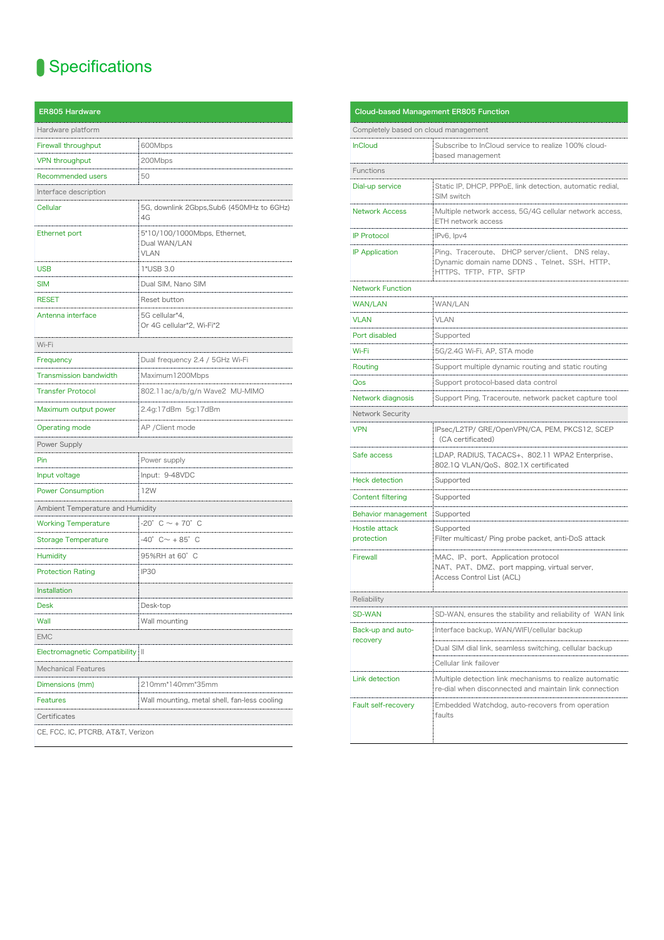| Specifications                     |                                                             |                                             |
|------------------------------------|-------------------------------------------------------------|---------------------------------------------|
| <b>ER805 Hardware</b>              |                                                             | Cloud-based                                 |
| Hardware platform                  |                                                             | Completely bas                              |
| Firewall throughput                | 600Mbps                                                     | <b>InCloud</b>                              |
| <b>VPN</b> throughput              | 200Mbps                                                     |                                             |
| Recommended users                  | 50                                                          | Functions                                   |
| Interface description              |                                                             | Dial-up service                             |
| Cellular                           | 5G, downlink 2Gbps, Sub6 (450MHz to 6GHz)<br>4G             | <b>Network Acces</b>                        |
| Ethernet port                      | 5*10/100/1000Mbps, Ethernet,<br>Dual WAN/LAN<br><b>VLAN</b> | <b>IP Protocol</b><br><b>IP Application</b> |
| <b>USB</b>                         | 1*USB 3.0                                                   |                                             |
| <b>SIM</b>                         | Dual SIM, Nano SIM                                          | <b>Network Functi</b>                       |
| <b>RESET</b>                       | Reset button                                                | WAN/LAN                                     |
| Antenna interface                  | 5G cellular*4,<br>Or 4G cellular*2, Wi-Fi*2                 | <b>VLAN</b>                                 |
| Wi-Fi                              |                                                             | Port disabled                               |
| Frequency                          | Dual frequency 2.4 / 5GHz Wi-Fi                             | Wi-Fi                                       |
| <b>Transmission bandwidth</b>      | Maximum1200Mbps                                             | Routing                                     |
| <b>Transfer Protocol</b>           | 802.11ac/a/b/g/n Wave2 MU-MIMO                              | Qos                                         |
| Maximum output power               | 2.4g:17dBm 5g:17dBm                                         | Network diagno<br>Network Securi            |
| Operating mode                     | AP / Client mode                                            | <b>VPN</b>                                  |
| Power Supply                       |                                                             |                                             |
| Pin                                | Power supply                                                | Safe access                                 |
| Input voltage                      | Input: 9-48VDC                                              |                                             |
| <b>Power Consumption</b>           | 12W                                                         | <b>Heck detection</b>                       |
| Ambient Temperature and Humidity   |                                                             | Content filtering                           |
| <b>Working Temperature</b>         | $-20^\circ$ C $\sim$ +70 $^\circ$ C                         | Behavior mana                               |
| <b>Storage Temperature</b>         | $-40^{\circ}$ C $\sim$ + 85 $^{\circ}$ C                    | Hostile attack<br>protection                |
| <b>Humidity</b>                    | 95%RH at 60° C                                              | Firewall                                    |
| <b>Protection Rating</b>           | IP30                                                        |                                             |
| Installation                       |                                                             |                                             |
| <b>Desk</b>                        | Desk-top                                                    | Reliability                                 |
| Wall                               | Wall mounting                                               | <b>SD-WAN</b>                               |
| <b>EMC</b>                         |                                                             | Back-up and au<br>recovery                  |
| Electromagnetic Compatibility   II |                                                             |                                             |
| Mechanical Features                |                                                             |                                             |
| Dimensions (mm)                    | 210mm*140mm*35mm                                            | Link detection                              |
| Features                           | Wall mounting, metal shell, fan-less cooling                | Fault self-recov                            |
| Certificates                       |                                                             |                                             |
| CE, FCC, IC, PTCRB, AT&T, Verizon  |                                                             |                                             |

|                                      | <b>Cloud-based Management ER805 Function</b>                                                                         |
|--------------------------------------|----------------------------------------------------------------------------------------------------------------------|
| Completely based on cloud management |                                                                                                                      |
| <b>InCloud</b>                       | Subscribe to InCloud service to realize 100% cloud-<br>based management                                              |
| Functions                            |                                                                                                                      |
| Dial-up service                      | Static IP, DHCP, PPPoE, link detection, automatic redial,<br>SIM switch                                              |
| <b>Network Access</b>                | Multiple network access, 5G/4G cellular network access,<br>ETH network access                                        |
| <b>IP Protocol</b>                   | IPv6, Ipv4                                                                                                           |
| <b>IP Application</b>                | Ping、Traceroute、DHCP server/client、DNS relay、<br>Dynamic domain name DDNS, Telnet, SSH, HTTP,<br>HTTPS、TFTP、FTP、SFTP |
| <b>Network Function</b>              |                                                                                                                      |
| WAN/LAN                              | WAN/LAN                                                                                                              |
| <b>VLAN</b>                          | VLAN                                                                                                                 |
| Port disabled                        | Supported                                                                                                            |
| Wi-Fi                                | 5G/2.4G Wi-Fi, AP, STA mode                                                                                          |
| Routing                              | Support multiple dynamic routing and static routing                                                                  |
| Qos                                  | Support protocol-based data control                                                                                  |
| Network diagnosis                    | Support Ping, Traceroute, network packet capture tool                                                                |
| Network Security                     |                                                                                                                      |
| <b>VPN</b>                           | IPsec/L2TP/ GRE/OpenVPN/CA, PEM, PKCS12, SCEP<br>(CA certificated)                                                   |
| Safe access                          | LDAP, RADIUS, TACACS+、802.11 WPA2 Enterprise、<br>802.1Q VLAN/QoS、802.1X certificated                                 |
| Heck detection                       | Supported                                                                                                            |
| Content filtering                    | Supported                                                                                                            |
| Behavior management                  | Supported                                                                                                            |
| Hostile attack<br>protection         | Supported<br>Filter multicast/ Ping probe packet, anti-DoS attack                                                    |
| Firewall                             | MAC, IP, port, Application protocol<br>NAT, PAT, DMZ, port mapping, virtual server,<br>Access Control List (ACL)     |
| Reliability                          |                                                                                                                      |
| SD-WAN                               | SD-WAN, ensures the stability and reliability of WAN link                                                            |
| Back-up and auto-                    | Interface backup, WAN/WIFI/cellular backup                                                                           |
| recovery                             | Dual SIM dial link, seamless switching, cellular backup                                                              |
|                                      | Cellular link failover                                                                                               |
| Link detection                       | Multiple detection link mechanisms to realize automatic                                                              |
|                                      | re-dial when disconnected and maintain link connection                                                               |
| Fault self-recovery                  | Embedded Watchdog, auto-recovers from operation<br>faults                                                            |
|                                      |                                                                                                                      |